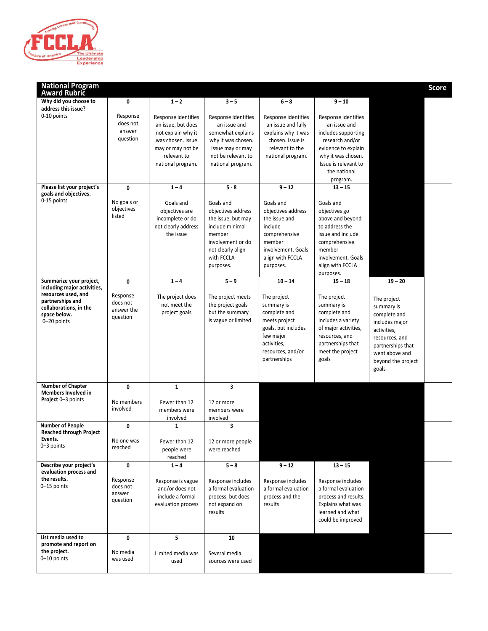

| <b>National Program</b><br><b>Award Rubric</b>                                                                                                             |                                                     |                                                                                                                                               |                                                                                                                                                         |                                                                                                                                                                 |                                                                                                                                                                                |                                                                                                                                                                                 | <b>Score</b> |
|------------------------------------------------------------------------------------------------------------------------------------------------------------|-----------------------------------------------------|-----------------------------------------------------------------------------------------------------------------------------------------------|---------------------------------------------------------------------------------------------------------------------------------------------------------|-----------------------------------------------------------------------------------------------------------------------------------------------------------------|--------------------------------------------------------------------------------------------------------------------------------------------------------------------------------|---------------------------------------------------------------------------------------------------------------------------------------------------------------------------------|--------------|
| Why did you choose to<br>address this issue?                                                                                                               | 0                                                   | $1 - 2$                                                                                                                                       | $3 - 5$                                                                                                                                                 | $6 - 8$                                                                                                                                                         | $9 - 10$                                                                                                                                                                       |                                                                                                                                                                                 |              |
| 0-10 points                                                                                                                                                | Response<br>does not<br>answer<br>question          | Response identifies<br>an issue, but does<br>not explain why it<br>was chosen. Issue<br>may or may not be<br>relevant to<br>national program. | Response identifies<br>an issue and<br>somewhat explains<br>why it was chosen.<br>Issue may or may<br>not be relevant to<br>national program.           | Response identifies<br>an issue and fully<br>explains why it was<br>chosen. Issue is<br>relevant to the<br>national program.                                    | Response identifies<br>an issue and<br>includes supporting<br>research and/or<br>evidence to explain<br>why it was chosen.<br>Issue is relevant to<br>the national<br>program. |                                                                                                                                                                                 |              |
| Please list your project's<br>goals and objectives.                                                                                                        | 0                                                   | $1 - 4$                                                                                                                                       | $5 - 8$                                                                                                                                                 | $9 - 12$                                                                                                                                                        | $13 - 15$                                                                                                                                                                      |                                                                                                                                                                                 |              |
| 0-15 points                                                                                                                                                | No goals or<br>objectives<br>listed                 | Goals and<br>objectives are<br>incomplete or do<br>not clearly address<br>the issue                                                           | Goals and<br>objectives address<br>the issue, but may<br>include minimal<br>member<br>involvement or do<br>not clearly align<br>with FCCLA<br>purposes. | Goals and<br>objectives address<br>the issue and<br>include<br>comprehensive<br>member<br>involvement. Goals<br>align with FCCLA<br>purposes.                   | Goals and<br>objectives go<br>above and beyond<br>to address the<br>issue and include<br>comprehensive<br>member<br>involvement. Goals<br>align with FCCLA<br>purposes.        |                                                                                                                                                                                 |              |
| Summarize your project,<br>including major activities,<br>resources used, and<br>partnerships and<br>collaborations, in the<br>space below.<br>0-20 points | 0<br>Response<br>does not<br>answer the<br>question | $1 - 4$<br>The project does<br>not meet the<br>project goals                                                                                  | $5 - 9$<br>The project meets<br>the project goals<br>but the summary<br>is vague or limited                                                             | $10 - 14$<br>The project<br>summary is<br>complete and<br>meets project<br>goals, but includes<br>few major<br>activities,<br>resources, and/or<br>partnerships | $15 - 18$<br>The project<br>summary is<br>complete and<br>includes a variety<br>of major activities,<br>resources, and<br>partnerships that<br>meet the project<br>goals       | $19 - 20$<br>The project<br>summary is<br>complete and<br>includes major<br>activities,<br>resources, and<br>partnerships that<br>went above and<br>beyond the project<br>goals |              |
| <b>Number of Chapter</b><br><b>Members Involved in</b>                                                                                                     | 0                                                   | $\mathbf{1}$                                                                                                                                  | $\overline{\mathbf{3}}$                                                                                                                                 |                                                                                                                                                                 |                                                                                                                                                                                |                                                                                                                                                                                 |              |
| Project 0-3 points                                                                                                                                         | No members<br>involved                              | Fewer than 12<br>members were<br>involved                                                                                                     | 12 or more<br>members were<br>involved                                                                                                                  |                                                                                                                                                                 |                                                                                                                                                                                |                                                                                                                                                                                 |              |
| <b>Number of People</b><br><b>Reached through Project</b>                                                                                                  | 0                                                   | $\mathbf{1}$                                                                                                                                  | 3                                                                                                                                                       |                                                                                                                                                                 |                                                                                                                                                                                |                                                                                                                                                                                 |              |
| Events.<br>0-3 points                                                                                                                                      | No one was<br>reached                               | Fewer than 12<br>people were<br>reached                                                                                                       | 12 or more people<br>were reached                                                                                                                       |                                                                                                                                                                 |                                                                                                                                                                                |                                                                                                                                                                                 |              |
| Describe your project's<br>evaluation process and<br>the results.<br>0-15 points                                                                           | 0<br>Response<br>does not<br>answer<br>question     | $1 - 4$<br>Response is vague<br>and/or does not<br>include a formal<br>evaluation process                                                     | $5 - 8$<br>Response includes<br>a formal evaluation<br>process, but does<br>not expand on<br>results                                                    | $9 - 12$<br>Response includes<br>a formal evaluation<br>process and the<br>results                                                                              | $13 - 15$<br>Response includes<br>a formal evaluation<br>process and results.<br>Explains what was<br>learned and what<br>could be improved                                    |                                                                                                                                                                                 |              |
| List media used to<br>promote and report on<br>the project.<br>0-10 points                                                                                 | 0<br>No media<br>was used                           | 5<br>Limited media was<br>used                                                                                                                | 10<br>Several media<br>sources were used                                                                                                                |                                                                                                                                                                 |                                                                                                                                                                                |                                                                                                                                                                                 |              |